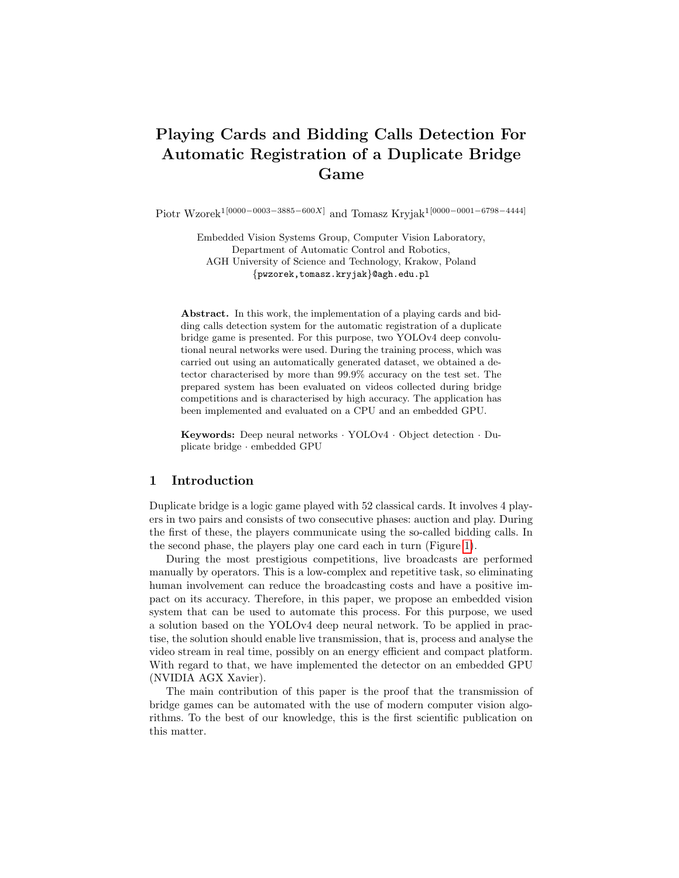# Playing Cards and Bidding Calls Detection For Automatic Registration of a Duplicate Bridge Game

Piotr Wzorek1[0000−0003−3885−600X] and Tomasz Kryjak1[0000−0001−6798−4444]

Embedded Vision Systems Group, Computer Vision Laboratory, Department of Automatic Control and Robotics, AGH University of Science and Technology, Krakow, Poland {pwzorek,tomasz.kryjak}@agh.edu.pl

Abstract. In this work, the implementation of a playing cards and bidding calls detection system for the automatic registration of a duplicate bridge game is presented. For this purpose, two YOLOv4 deep convolutional neural networks were used. During the training process, which was carried out using an automatically generated dataset, we obtained a detector characterised by more than 99.9% accuracy on the test set. The prepared system has been evaluated on videos collected during bridge competitions and is characterised by high accuracy. The application has been implemented and evaluated on a CPU and an embedded GPU.

Keywords: Deep neural networks · YOLOv4 · Object detection · Duplicate bridge · embedded GPU

#### 1 Introduction

Duplicate bridge is a logic game played with 52 classical cards. It involves 4 players in two pairs and consists of two consecutive phases: auction and play. During the first of these, the players communicate using the so-called bidding calls. In the second phase, the players play one card each in turn (Figure [1\)](#page-1-0).

During the most prestigious competitions, live broadcasts are performed manually by operators. This is a low-complex and repetitive task, so eliminating human involvement can reduce the broadcasting costs and have a positive impact on its accuracy. Therefore, in this paper, we propose an embedded vision system that can be used to automate this process. For this purpose, we used a solution based on the YOLOv4 deep neural network. To be applied in practise, the solution should enable live transmission, that is, process and analyse the video stream in real time, possibly on an energy efficient and compact platform. With regard to that, we have implemented the detector on an embedded GPU (NVIDIA AGX Xavier).

The main contribution of this paper is the proof that the transmission of bridge games can be automated with the use of modern computer vision algorithms. To the best of our knowledge, this is the first scientific publication on this matter.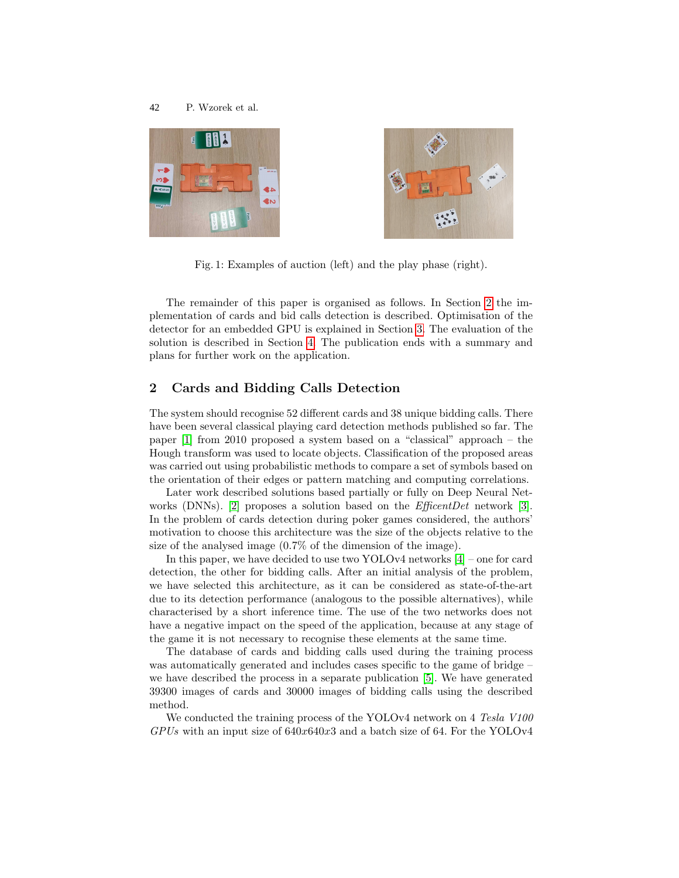<span id="page-1-0"></span>



Fig. 1: Examples of auction (left) and the play phase (right).

The remainder of this paper is organised as follows. In Section [2](#page-1-1) the implementation of cards and bid calls detection is described. Optimisation of the detector for an embedded GPU is explained in Section [3.](#page-2-0) The evaluation of the solution is described in Section [4.](#page-2-1) The publication ends with a summary and plans for further work on the application.

#### <span id="page-1-1"></span>2 Cards and Bidding Calls Detection

The system should recognise 52 different cards and 38 unique bidding calls. There have been several classical playing card detection methods published so far. The paper [\[1\]](#page-3-0) from 2010 proposed a system based on a "classical" approach – the Hough transform was used to locate objects. Classification of the proposed areas was carried out using probabilistic methods to compare a set of symbols based on the orientation of their edges or pattern matching and computing correlations.

Later work described solutions based partially or fully on Deep Neural Net-works (DNNs). [\[2\]](#page-3-1) proposes a solution based on the  $EfficentDet$  network [\[3\]](#page-3-2). In the problem of cards detection during poker games considered, the authors' motivation to choose this architecture was the size of the objects relative to the size of the analysed image (0.7% of the dimension of the image).

In this paper, we have decided to use two YOLOv4 networks [\[4\]](#page-3-3) – one for card detection, the other for bidding calls. After an initial analysis of the problem, we have selected this architecture, as it can be considered as state-of-the-art due to its detection performance (analogous to the possible alternatives), while characterised by a short inference time. The use of the two networks does not have a negative impact on the speed of the application, because at any stage of the game it is not necessary to recognise these elements at the same time.

The database of cards and bidding calls used during the training process was automatically generated and includes cases specific to the game of bridge – we have described the process in a separate publication [\[5\]](#page-3-4). We have generated 39300 images of cards and 30000 images of bidding calls using the described method.

We conducted the training process of the YOLOv4 network on 4 Tesla V100  $GPUs$  with an input size of  $640x640x3$  and a batch size of 64. For the YOLOv4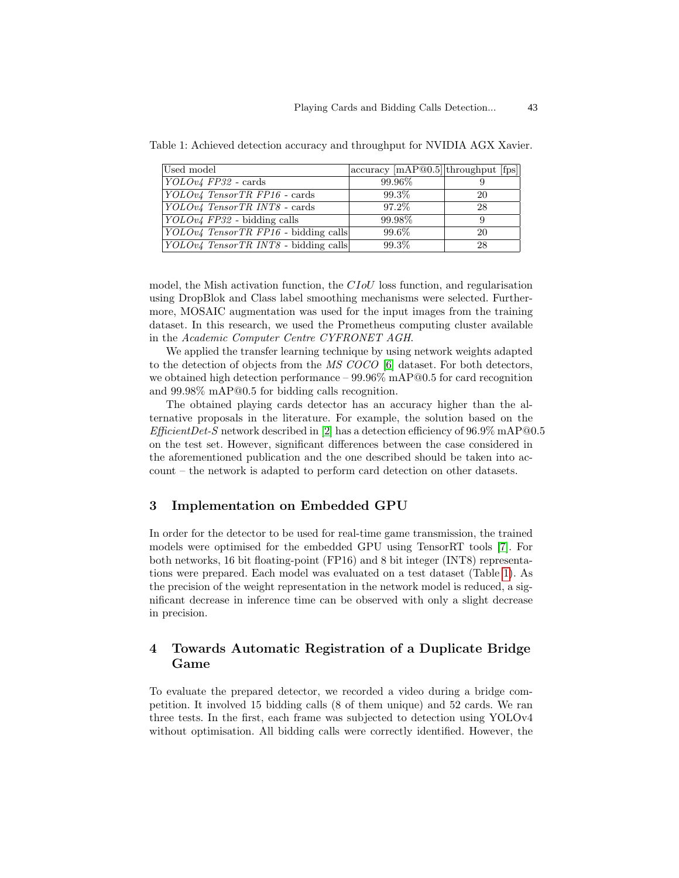| Used model                                         | $\vert$ accuracy $\vert$ mAP@0.5 $\vert$ throughput $\vert$ fps $\vert$ |    |
|----------------------------------------------------|-------------------------------------------------------------------------|----|
| $YOLOv4$ FP32 - cards                              | 99.96%                                                                  |    |
| $YOLOv4$ TensorTR FP16 - cards                     | 99.3%                                                                   | 20 |
| YOLOv4 TensorTR INT8 - cards                       | 97.2%                                                                   | 28 |
| $\vert YOLOv4$ FP32 - bidding calls                | 99.98%                                                                  |    |
| $\vert YOLOv4 \; TensorTR \; FP16$ - bidding calls | 99.6%                                                                   | 20 |
| <i>YOLOv4 TensorTR INT8</i> - bidding calls        | 99.3%                                                                   | 28 |

<span id="page-2-2"></span>Table 1: Achieved detection accuracy and throughput for NVIDIA AGX Xavier.

model, the Mish activation function, the CIoU loss function, and regularisation using DropBlok and Class label smoothing mechanisms were selected. Furthermore, MOSAIC augmentation was used for the input images from the training dataset. In this research, we used the Prometheus computing cluster available in the Academic Computer Centre CYFRONET AGH.

We applied the transfer learning technique by using network weights adapted to the detection of objects from the MS COCO [\[6\]](#page-3-5) dataset. For both detectors, we obtained high detection performance – 99.96% mAP@0.5 for card recognition and 99.98% mAP@0.5 for bidding calls recognition.

The obtained playing cards detector has an accuracy higher than the alternative proposals in the literature. For example, the solution based on the  $EfficientDet-S$  network described in [\[2\]](#page-3-1) has a detection efficiency of 96.9% mAP@0.5 on the test set. However, significant differences between the case considered in the aforementioned publication and the one described should be taken into account – the network is adapted to perform card detection on other datasets.

### <span id="page-2-0"></span>3 Implementation on Embedded GPU

In order for the detector to be used for real-time game transmission, the trained models were optimised for the embedded GPU using TensorRT tools [\[7\]](#page-3-6). For both networks, 16 bit floating-point (FP16) and 8 bit integer (INT8) representations were prepared. Each model was evaluated on a test dataset (Table [1\)](#page-2-2). As the precision of the weight representation in the network model is reduced, a significant decrease in inference time can be observed with only a slight decrease in precision.

## <span id="page-2-1"></span>4 Towards Automatic Registration of a Duplicate Bridge Game

To evaluate the prepared detector, we recorded a video during a bridge competition. It involved 15 bidding calls (8 of them unique) and 52 cards. We ran three tests. In the first, each frame was subjected to detection using YOLOv4 without optimisation. All bidding calls were correctly identified. However, the